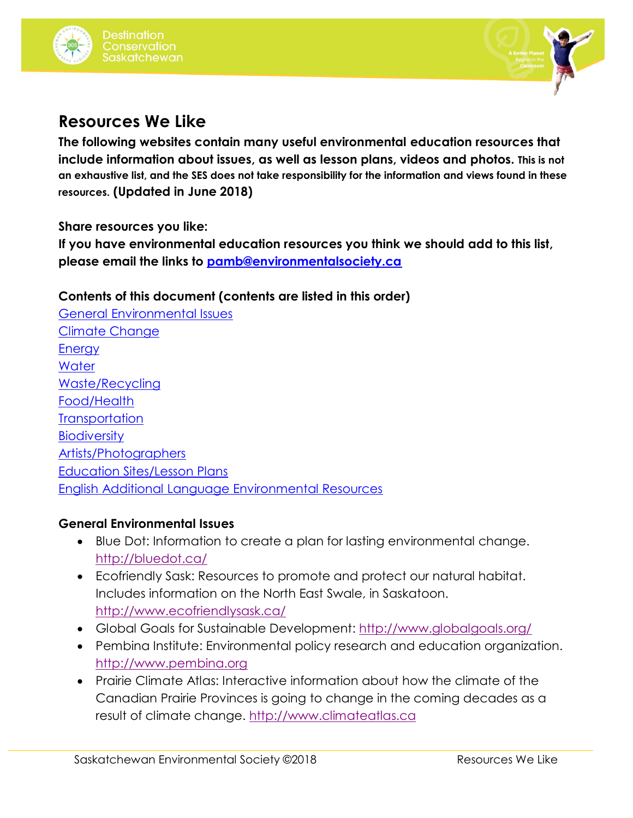



# **Resources We Like**

**The following websites contain many useful environmental education resources that include information about issues, as well as lesson plans, videos and photos. This is not an exhaustive list, and the SES does not take responsibility for the information and views found in these resources. (Updated in June 2018)**

**Share resources you like:**

**If you have environmental education resources you think we should add to this list, please email the links to [pamb@environmentalsociety.ca](mailto:pamb@environmentalsociety.ca)**

**Contents of this document (contents are listed in this order)**

[General Environmental Issues](#page-0-0) [Climate Change](#page-1-0) **[Energy](#page-1-1) [Water](#page-2-0)** [Waste/Recycling](#page-2-1) [Food/Health](#page-2-2) **[Transportation](#page-3-0) [Biodiversity](#page-3-1)** [Artists/Photographers](#page-3-2) [Education Sites/Lesson Plans](#page-3-3) [English Additional Language Environmental Resources](#page-4-0)

#### <span id="page-0-0"></span>**General Environmental Issues**

- Blue Dot: Information to create a plan for lasting environmental change. <http://bluedot.ca/>
- Ecofriendly Sask: Resources to promote and protect our natural habitat. Includes information on the North East Swale, in Saskatoon. <http://www.ecofriendlysask.ca/>
- Global Goals for Sustainable Development:<http://www.globalgoals.org/>
- Pembina Institute: Environmental policy research and education organization. [http://www.pembina.org](http://www.pembina.org/)
- Prairie Climate Atlas: Interactive information about how the climate of the Canadian Prairie Provinces is going to change in the coming decades as a result of climate change. [http://www.climateatlas.ca](http://www.climateatlas.ca/)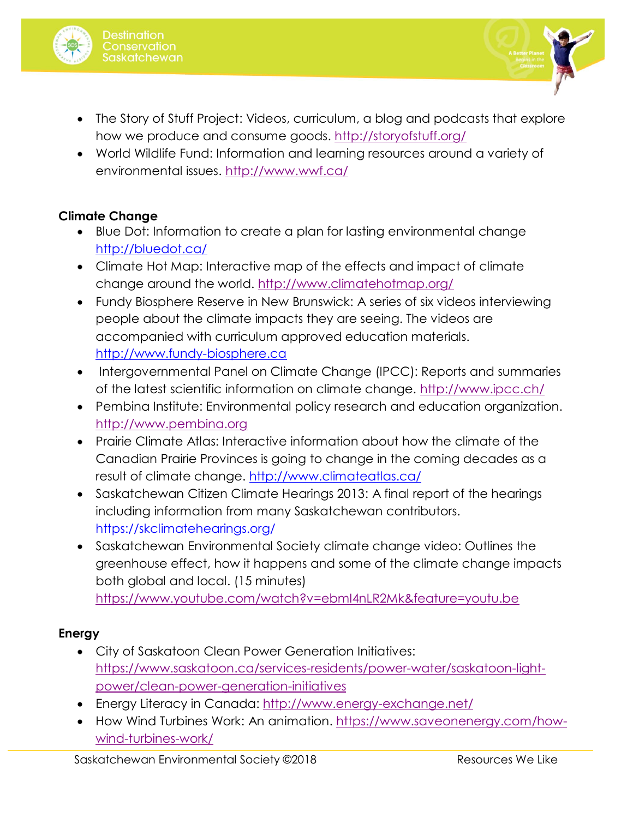



- The Story of Stuff Project: Videos, curriculum, a blog and podcasts that explore how we produce and consume goods. <http://storyofstuff.org/>
- World Wildlife Fund: Information and learning resources around a variety of environmental issues.<http://www.wwf.ca/>

# <span id="page-1-0"></span>**Climate Change**

- Blue Dot: Information to create a plan for lasting environmental change <http://bluedot.ca/>
- Climate Hot Map: Interactive map of the effects and impact of climate change around the world.<http://www.climatehotmap.org/>
- Fundy Biosphere Reserve in New Brunswick: A series of six videos interviewing people about the climate impacts they are seeing. The videos are accompanied with curriculum approved education materials. [http://www.fundy-biosphere.ca](http://www.fundy-biosphere.ca/)
- Intergovernmental Panel on Climate Change (IPCC): Reports and summaries of the latest scientific information on climate change.<http://www.ipcc.ch/>
- Pembina Institute: Environmental policy research and education organization. [http://www.pembina.org](http://www.pembina.org/)
- Prairie Climate Atlas: Interactive information about how the climate of the Canadian Prairie Provinces is going to change in the coming decades as a result of climate change.<http://www.climateatlas.ca/>
- Saskatchewan Citizen Climate Hearings 2013: A final report of the hearings including information from many Saskatchewan contributors. https://skclimatehearings.org/
- Saskatchewan Environmental Society climate change video: Outlines the greenhouse effect, how it happens and some of the climate change impacts both global and local. (15 minutes) <https://www.youtube.com/watch?v=ebmI4nLR2Mk&feature=youtu.be>

# <span id="page-1-1"></span>**Energy**

- City of Saskatoon Clean Power Generation Initiatives: [https://www.saskatoon.ca/services-residents/power-water/saskatoon-light](https://www.saskatoon.ca/services-residents/power-water/saskatoon-light-power/clean-power-generation-initiatives)[power/clean-power-generation-initiatives](https://www.saskatoon.ca/services-residents/power-water/saskatoon-light-power/clean-power-generation-initiatives)
- Energy Literacy in Canada: <http://www.energy-exchange.net/>
- How Wind Turbines Work: An animation. [https://www.saveonenergy.com/how](https://www.saveonenergy.com/how-wind-turbines-work/)[wind-turbines-work/](https://www.saveonenergy.com/how-wind-turbines-work/)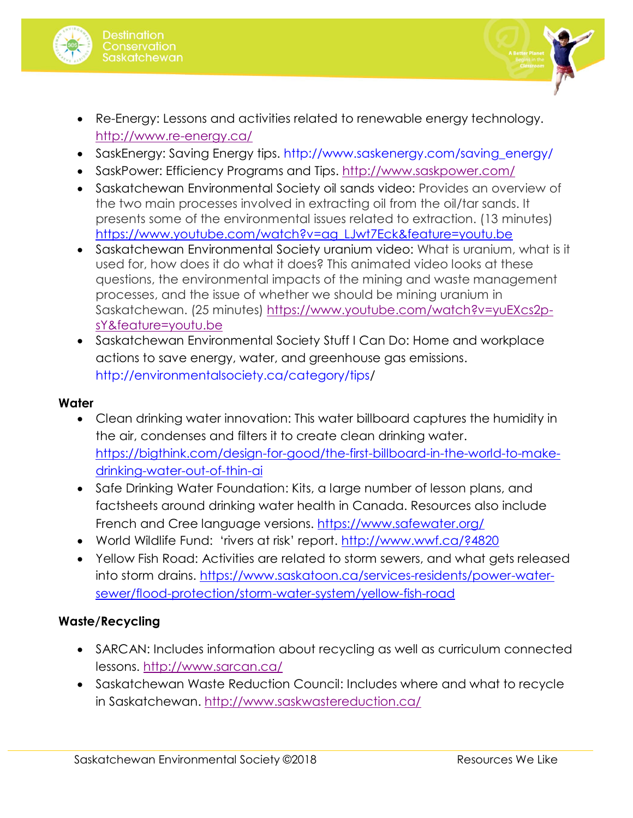



- SaskEnergy: Saving Energy tips. http://www.saskenergy.com/saving\_energy/
- SaskPower: Efficiency Programs and Tips. <http://www.saskpower.com/>
- Saskatchewan Environmental Society oil sands video: Provides an overview of the two main processes involved in extracting oil from the oil/tar sands. It presents some of the environmental issues related to extraction. (13 minutes) [https://www.youtube.com/watch?v=ag\\_LJwt7Eck&feature=youtu.be](https://www.youtube.com/watch?v=ag_LJwt7Eck&feature=youtu.be)
- Saskatchewan Environmental Society uranium video: What is uranium, what is it used for, how does it do what it does? This animated video looks at these questions, the environmental impacts of the mining and waste management processes, and the issue of whether we should be mining uranium in Saskatchewan. (25 minutes) [https://www.youtube.com/watch?v=yuEXcs2p](https://www.youtube.com/watch?v=yuEXcs2p-sY&feature=youtu.be)[sY&feature=youtu.be](https://www.youtube.com/watch?v=yuEXcs2p-sY&feature=youtu.be)
- Saskatchewan Environmental Society Stuff I Can Do: Home and workplace actions to save energy, water, and greenhouse gas emissions. http://environmentalsociety.ca/category/tips/

#### <span id="page-2-0"></span>**Water**

- Clean drinking water innovation: This water billboard captures the humidity in the air, condenses and filters it to create clean drinking water. [https://bigthink.com/design-for-good/the-first-billboard-in-the-world-to-make](https://bigthink.com/design-for-good/the-first-billboard-in-the-world-to-make-drinking-water-out-of-thin-ai)[drinking-water-out-of-thin-ai](https://bigthink.com/design-for-good/the-first-billboard-in-the-world-to-make-drinking-water-out-of-thin-ai)
- Safe Drinking Water Foundation: Kits, a large number of lesson plans, and factsheets around drinking water health in Canada. Resources also include French and Cree language versions.<https://www.safewater.org/>
- World Wildlife Fund: 'rivers at risk' report. <http://www.wwf.ca/?4820>
- Yellow Fish Road: Activities are related to storm sewers, and what gets released into storm drains. [https://www.saskatoon.ca/services-residents/power-water](https://www.saskatoon.ca/services-residents/power-water-sewer/flood-protection/storm-water-system/yellow-fish-road)[sewer/flood-protection/storm-water-system/yellow-fish-road](https://www.saskatoon.ca/services-residents/power-water-sewer/flood-protection/storm-water-system/yellow-fish-road)

#### <span id="page-2-1"></span>**Waste/Recycling**

- SARCAN: Includes information about recycling as well as curriculum connected lessons.<http://www.sarcan.ca/>
- <span id="page-2-2"></span> Saskatchewan Waste Reduction Council: Includes where and what to recycle in Saskatchewan. <http://www.saskwastereduction.ca/>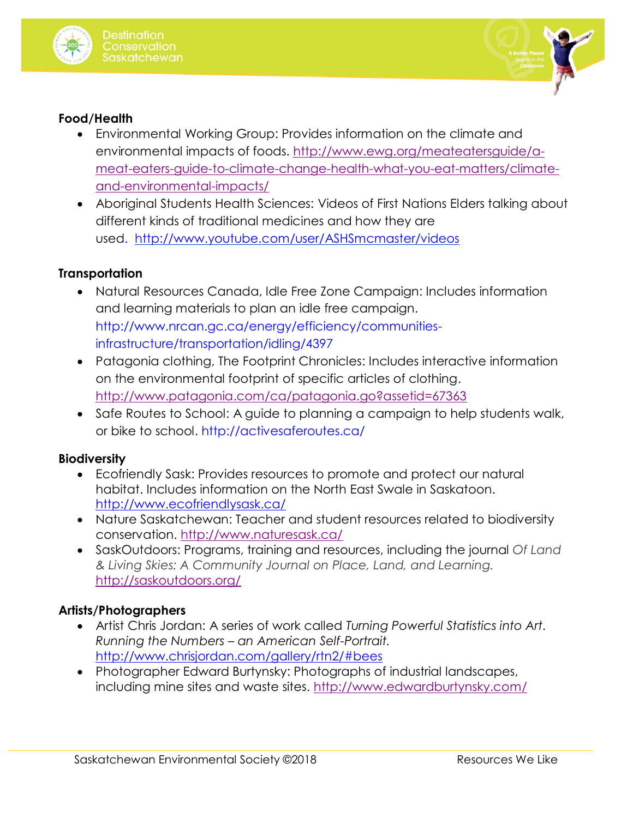



### **Food/Health**

- Environmental Working Group: Provides information on the climate and environmental impacts of foods. [http://www.ewg.org/meateatersguide/a](http://www.ewg.org/meateatersguide/a-meat-eaters-guide-to-climate-change-health-what-you-eat-matters/climate-and-environmental-impacts/)[meat-eaters-guide-to-climate-change-health-what-you-eat-matters/climate](http://www.ewg.org/meateatersguide/a-meat-eaters-guide-to-climate-change-health-what-you-eat-matters/climate-and-environmental-impacts/)[and-environmental-impacts/](http://www.ewg.org/meateatersguide/a-meat-eaters-guide-to-climate-change-health-what-you-eat-matters/climate-and-environmental-impacts/)
- Aboriginal Students Health Sciences: Videos of First Nations Elders talking about different kinds of traditional medicines and how they are used. <http://www.youtube.com/user/ASHSmcmaster/videos>

#### <span id="page-3-0"></span>**Transportation**

- Natural Resources Canada, Idle Free Zone Campaign: Includes information and learning materials to plan an idle free campaign. http://www.nrcan.gc.ca/energy/efficiency/communitiesinfrastructure/transportation/idling/4397
- Patagonia clothing, The Footprint Chronicles: Includes interactive information on the environmental footprint of specific articles of clothing. <http://www.patagonia.com/ca/patagonia.go?assetid=67363>
- Safe Routes to School: A guide to planning a campaign to help students walk, or bike to school. http://activesaferoutes.ca/

#### <span id="page-3-1"></span>**Biodiversity**

- Ecofriendly Sask: Provides resources to promote and protect our natural habitat. Includes information on the North East Swale in Saskatoon. <http://www.ecofriendlysask.ca/>
- Nature Saskatchewan: Teacher and student resources related to biodiversity conservation.<http://www.naturesask.ca/>
- SaskOutdoors: Programs, training and resources, including the journal *Of Land & Living Skies: A Community Journal on Place, Land, and Learning.* <http://saskoutdoors.org/>

# <span id="page-3-2"></span>**Artists/Photographers**

- Artist Chris Jordan: A series of work called *Turning Powerful Statistics into Art. Running the Numbers – an American Self-Portrait.* <http://www.chrisjordan.com/gallery/rtn2/#bees>
- <span id="page-3-3"></span> Photographer Edward Burtynsky: Photographs of industrial landscapes, including mine sites and waste sites. <http://www.edwardburtynsky.com/>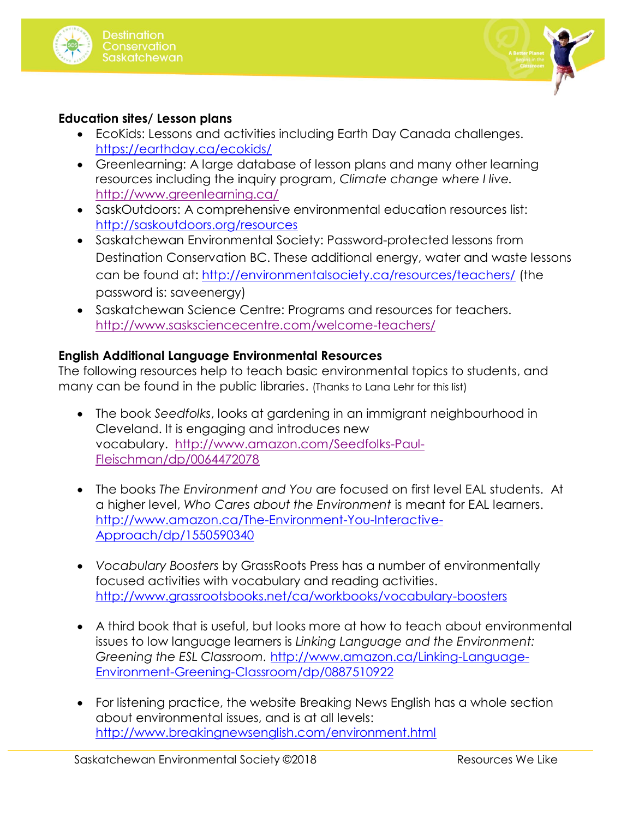



### **Education sites/ Lesson plans**

- EcoKids: Lessons and activities including Earth Day Canada challenges. https://earthday.ca/ecokids/
- Greenlearning: A large database of lesson plans and many other learning resources including the inquiry program, *Climate change where I live.* <http://www.greenlearning.ca/>
- SaskOutdoors: A comprehensive environmental education resources list: <http://saskoutdoors.org/resources>
- Saskatchewan Environmental Society: Password-protected lessons from Destination Conservation BC. These additional energy, water and waste lessons can be found at: <http://environmentalsociety.ca/resources/teachers/> (the password is: saveenergy)
- Saskatchewan Science Centre: Programs and resources for teachers. <http://www.sasksciencecentre.com/welcome-teachers/>

### <span id="page-4-0"></span>**English Additional Language Environmental Resources**

The following resources help to teach basic environmental topics to students, and many can be found in the public libraries. (Thanks to Lana Lehr for this list)

- The book *Seedfolks*, looks at gardening in an immigrant neighbourhood in Cleveland. It is engaging and introduces new vocabulary. [http://www.amazon.com/Seedfolks-Paul-](http://www.amazon.com/Seedfolks-Paul-Fleischman/dp/0064472078)[Fleischman/dp/0064472078](http://www.amazon.com/Seedfolks-Paul-Fleischman/dp/0064472078)
- The books *The Environment and You* are focused on first level EAL students. At a higher level, *Who Cares about the Environment* is meant for EAL learners. [http://www.amazon.ca/The-Environment-You-Interactive-](http://www.amazon.ca/The-Environment-You-Interactive-Approach/dp/1550590340)[Approach/dp/1550590340](http://www.amazon.ca/The-Environment-You-Interactive-Approach/dp/1550590340)
- *Vocabulary Boosters* by GrassRoots Press has a number of environmentally focused activities with vocabulary and reading activities. <http://www.grassrootsbooks.net/ca/workbooks/vocabulary-boosters>
- A third book that is useful, but looks more at how to teach about environmental issues to low language learners is *Linking Language and the Environment: Greening the ESL Classroom.* http://www.amazon.ca/Linking-Language-Environment-Greening-Classroom/dp/0887510922
- For listening practice, the website Breaking News English has a whole section about environmental issues, and is at all levels: <http://www.breakingnewsenglish.com/environment.html>